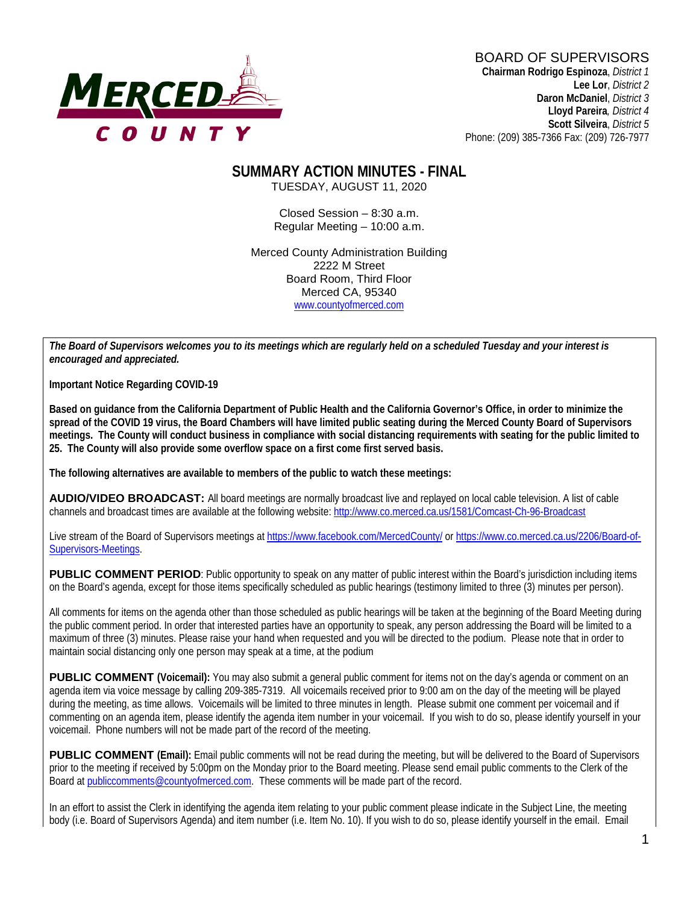

# BOARD OF SUPERVISORS

**Chairman Rodrigo Espinoza**, *District 1* **Lee Lor**, *District 2*  **Daron McDaniel**, *District 3* **Lloyd Pareira***, District 4*  **Scott Silveira**, *District 5* Phone: (209) 385-7366 Fax: (209) 726-7977

#### **SUMMARY ACTION MINUTES - FINAL** TUESDAY, AUGUST 11, 2020

Closed Session – 8:30 a.m. Regular Meeting – 10:00 a.m.

Merced County Administration Building 2222 M Street Board Room, Third Floor Merced CA, 95340 www.countyofmerced.com

*The Board of Supervisors welcomes you to its meetings which are regularly held on a scheduled Tuesday and your interest is encouraged and appreciated.*

**Important Notice Regarding COVID-19**

**Based on guidance from the California Department of Public Health and the California Governor's Office, in order to minimize the spread of the COVID 19 virus, the Board Chambers will have limited public seating during the Merced County Board of Supervisors meetings. The County will conduct business in compliance with social distancing requirements with seating for the public limited to 25. The County will also provide some overflow space on a first come first served basis.** 

**The following alternatives are available to members of the public to watch these meetings:**

**AUDIO/VIDEO BROADCAST:** All board meetings are normally broadcast live and replayed on local cable television. A list of cable channels and broadcast times are available at the following website[: http://www.co.merced.ca.us/1581/Comcast-Ch-96-Broadcast](http://www.co.merced.ca.us/1581/Comcast-Ch-96-Broadcast)

Live stream of the Board of Supervisors meetings at<https://www.facebook.com/MercedCounty/> o[r https://www.co.merced.ca.us/2206/Board-of-](https://www.co.merced.ca.us/2206/Board-of-Supervisors-Meetings)[Supervisors-Meetings.](https://www.co.merced.ca.us/2206/Board-of-Supervisors-Meetings)

**PUBLIC COMMENT PERIOD:** Public opportunity to speak on any matter of public interest within the Board's jurisdiction including items on the Board's agenda, except for those items specifically scheduled as public hearings (testimony limited to three (3) minutes per person).

All comments for items on the agenda other than those scheduled as public hearings will be taken at the beginning of the Board Meeting during the public comment period. In order that interested parties have an opportunity to speak, any person addressing the Board will be limited to a maximum of three (3) minutes. Please raise your hand when requested and you will be directed to the podium. Please note that in order to maintain social distancing only one person may speak at a time, at the podium

**PUBLIC COMMENT** (Voicemail): You may also submit a general public comment for items not on the day's agenda or comment on an agenda item via voice message by calling 209-385-7319. All voicemails received prior to 9:00 am on the day of the meeting will be played during the meeting, as time allows. Voicemails will be limited to three minutes in length. Please submit one comment per voicemail and if commenting on an agenda item, please identify the agenda item number in your voicemail. If you wish to do so, please identify yourself in your voicemail. Phone numbers will not be made part of the record of the meeting.

**PUBLIC COMMENT (Email):** Email public comments will not be read during the meeting, but will be delivered to the Board of Supervisors prior to the meeting if received by 5:00pm on the Monday prior to the Board meeting. Please send email public comments to the Clerk of the Board a[t publiccomments@countyofmerced.com.](mailto:publiccomments@countyofmerced.com) These comments will be made part of the record.

In an effort to assist the Clerk in identifying the agenda item relating to your public comment please indicate in the Subject Line, the meeting body (i.e. Board of Supervisors Agenda) and item number (i.e. Item No. 10). If you wish to do so, please identify yourself in the email. Email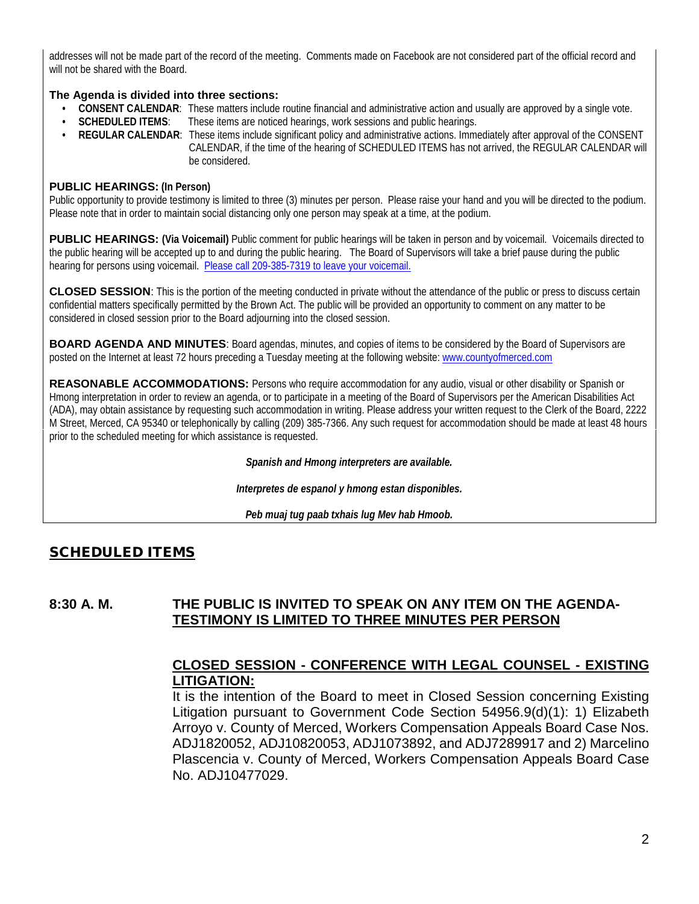addresses will not be made part of the record of the meeting. Comments made on Facebook are not considered part of the official record and will not be shared with the Board.

#### **The Agenda is divided into three sections:**

- **CONSENT CALENDAR**: These matters include routine financial and administrative action and usually are approved by a single vote.
- **SCHEDULED ITEMS**: These items are noticed hearings, work sessions and public hearings.
- **REGULAR CALENDAR**: These items include significant policy and administrative actions. Immediately after approval of the CONSENT CALENDAR, if the time of the hearing of SCHEDULED ITEMS has not arrived, the REGULAR CALENDAR will be considered.

#### **PUBLIC HEARINGS: (In Person)**

Public opportunity to provide testimony is limited to three (3) minutes per person. Please raise your hand and you will be directed to the podium. Please note that in order to maintain social distancing only one person may speak at a time, at the podium.

**PUBLIC HEARINGS: (Via Voicemail)** Public comment for public hearings will be taken in person and by voicemail. Voicemails directed to the public hearing will be accepted up to and during the public hearing. The Board of Supervisors will take a brief pause during the public hearing for persons using voicemail. Please call 209-385-7319 to leave your voicemail.

**CLOSED SESSION**: This is the portion of the meeting conducted in private without the attendance of the public or press to discuss certain confidential matters specifically permitted by the Brown Act. The public will be provided an opportunity to comment on any matter to be considered in closed session prior to the Board adjourning into the closed session.

**BOARD AGENDA AND MINUTES:** Board agendas, minutes, and copies of items to be considered by the Board of Supervisors are posted on the Internet at least 72 hours preceding a Tuesday meeting at the following website: www.countyofmerced.com

**REASONABLE ACCOMMODATIONS:** Persons who require accommodation for any audio, visual or other disability or Spanish or Hmong interpretation in order to review an agenda, or to participate in a meeting of the Board of Supervisors per the American Disabilities Act (ADA), may obtain assistance by requesting such accommodation in writing. Please address your written request to the Clerk of the Board, 2222 M Street, Merced, CA 95340 or telephonically by calling (209) 385-7366. Any such request for accommodation should be made at least 48 hours prior to the scheduled meeting for which assistance is requested.

*Spanish and Hmong interpreters are available.*

*Interpretes de espanol y hmong estan disponibles.*

*Peb muaj tug paab txhais lug Mev hab Hmoob.* 

### SCHEDULED ITEMS

#### **8:30 A. M. THE PUBLIC IS INVITED TO SPEAK ON ANY ITEM ON THE AGENDA-TESTIMONY IS LIMITED TO THREE MINUTES PER PERSON**

### **CLOSED SESSION - CONFERENCE WITH LEGAL COUNSEL - EXISTING LITIGATION:**

It is the intention of the Board to meet in Closed Session concerning Existing Litigation pursuant to Government Code Section 54956.9(d)(1): 1) Elizabeth Arroyo v. County of Merced, Workers Compensation Appeals Board Case Nos. ADJ1820052, ADJ10820053, ADJ1073892, and ADJ7289917 and 2) Marcelino Plascencia v. County of Merced, Workers Compensation Appeals Board Case No. ADJ10477029.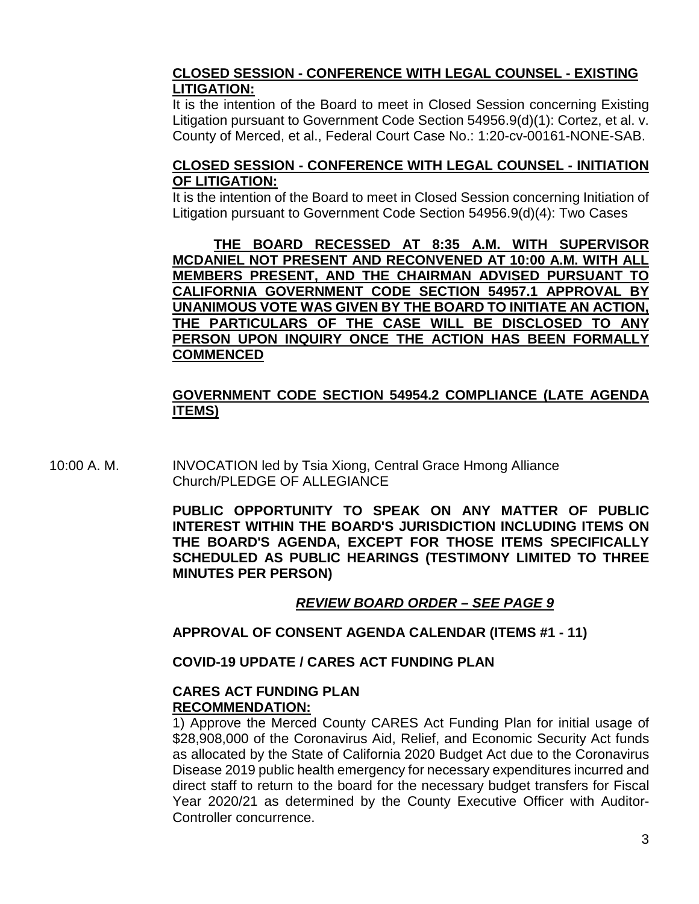#### **CLOSED SESSION - CONFERENCE WITH LEGAL COUNSEL - EXISTING LITIGATION:**

It is the intention of the Board to meet in Closed Session concerning Existing Litigation pursuant to Government Code Section 54956.9(d)(1): Cortez, et al. v. County of Merced, et al., Federal Court Case No.: 1:20-cv-00161-NONE-SAB.

#### **CLOSED SESSION - CONFERENCE WITH LEGAL COUNSEL - INITIATION OF LITIGATION:**

It is the intention of the Board to meet in Closed Session concerning Initiation of Litigation pursuant to Government Code Section 54956.9(d)(4): Two Cases

**THE BOARD RECESSED AT 8:35 A.M. WITH SUPERVISOR MCDANIEL NOT PRESENT AND RECONVENED AT 10:00 A.M. WITH ALL MEMBERS PRESENT, AND THE CHAIRMAN ADVISED PURSUANT TO CALIFORNIA GOVERNMENT CODE SECTION 54957.1 APPROVAL BY UNANIMOUS VOTE WAS GIVEN BY THE BOARD TO INITIATE AN ACTION, THE PARTICULARS OF THE CASE WILL BE DISCLOSED TO ANY PERSON UPON INQUIRY ONCE THE ACTION HAS BEEN FORMALLY COMMENCED**

### **GOVERNMENT CODE SECTION 54954.2 COMPLIANCE (LATE AGENDA ITEMS)**

10:00 A. M. INVOCATION led by Tsia Xiong, Central Grace Hmong Alliance Church/PLEDGE OF ALLEGIANCE

> **PUBLIC OPPORTUNITY TO SPEAK ON ANY MATTER OF PUBLIC INTEREST WITHIN THE BOARD'S JURISDICTION INCLUDING ITEMS ON THE BOARD'S AGENDA, EXCEPT FOR THOSE ITEMS SPECIFICALLY SCHEDULED AS PUBLIC HEARINGS (TESTIMONY LIMITED TO THREE MINUTES PER PERSON)**

### *REVIEW BOARD ORDER – SEE PAGE 9*

**APPROVAL OF CONSENT AGENDA CALENDAR (ITEMS #1 - 11)**

**COVID-19 UPDATE / CARES ACT FUNDING PLAN**

#### **CARES ACT FUNDING PLAN RECOMMENDATION:**

1) Approve the Merced County CARES Act Funding Plan for initial usage of \$28,908,000 of the Coronavirus Aid, Relief, and Economic Security Act funds as allocated by the State of California 2020 Budget Act due to the Coronavirus Disease 2019 public health emergency for necessary expenditures incurred and direct staff to return to the board for the necessary budget transfers for Fiscal Year 2020/21 as determined by the County Executive Officer with Auditor-Controller concurrence.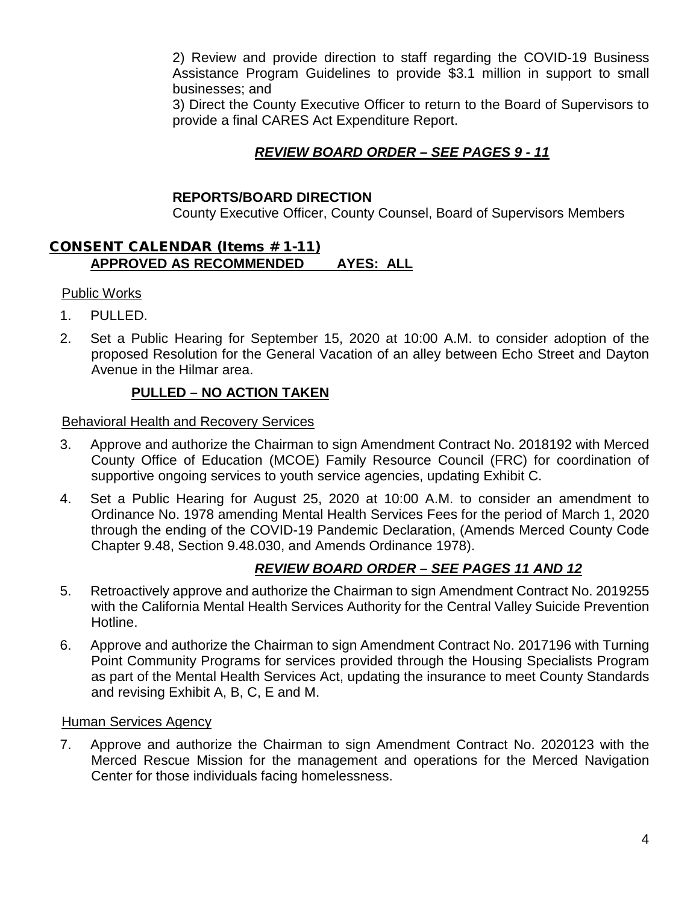2) Review and provide direction to staff regarding the COVID-19 Business Assistance Program Guidelines to provide \$3.1 million in support to small businesses; and

3) Direct the County Executive Officer to return to the Board of Supervisors to provide a final CARES Act Expenditure Report.

### *REVIEW BOARD ORDER – SEE PAGES 9 - 11*

#### **REPORTS/BOARD DIRECTION**

County Executive Officer, County Counsel, Board of Supervisors Members

#### CONSENT CALENDAR (Items # 1-11) **APPROVED AS RECOMMENDED AYES: ALL**

#### Public Works

- 1. PULLED.
- 2. Set a Public Hearing for September 15, 2020 at 10:00 A.M. to consider adoption of the proposed Resolution for the General Vacation of an alley between Echo Street and Dayton Avenue in the Hilmar area.

#### **PULLED – NO ACTION TAKEN**

Behavioral Health and Recovery Services

- 3. Approve and authorize the Chairman to sign Amendment Contract No. 2018192 with Merced County Office of Education (MCOE) Family Resource Council (FRC) for coordination of supportive ongoing services to youth service agencies, updating Exhibit C.
- 4. Set a Public Hearing for August 25, 2020 at 10:00 A.M. to consider an amendment to Ordinance No. 1978 amending Mental Health Services Fees for the period of March 1, 2020 through the ending of the COVID-19 Pandemic Declaration, (Amends Merced County Code Chapter 9.48, Section 9.48.030, and Amends Ordinance 1978).

### *REVIEW BOARD ORDER – SEE PAGES 11 AND 12*

- 5. Retroactively approve and authorize the Chairman to sign Amendment Contract No. 2019255 with the California Mental Health Services Authority for the Central Valley Suicide Prevention Hotline.
- 6. Approve and authorize the Chairman to sign Amendment Contract No. 2017196 with Turning Point Community Programs for services provided through the Housing Specialists Program as part of the Mental Health Services Act, updating the insurance to meet County Standards and revising Exhibit A, B, C, E and M.

#### Human Services Agency

7. Approve and authorize the Chairman to sign Amendment Contract No. 2020123 with the Merced Rescue Mission for the management and operations for the Merced Navigation Center for those individuals facing homelessness.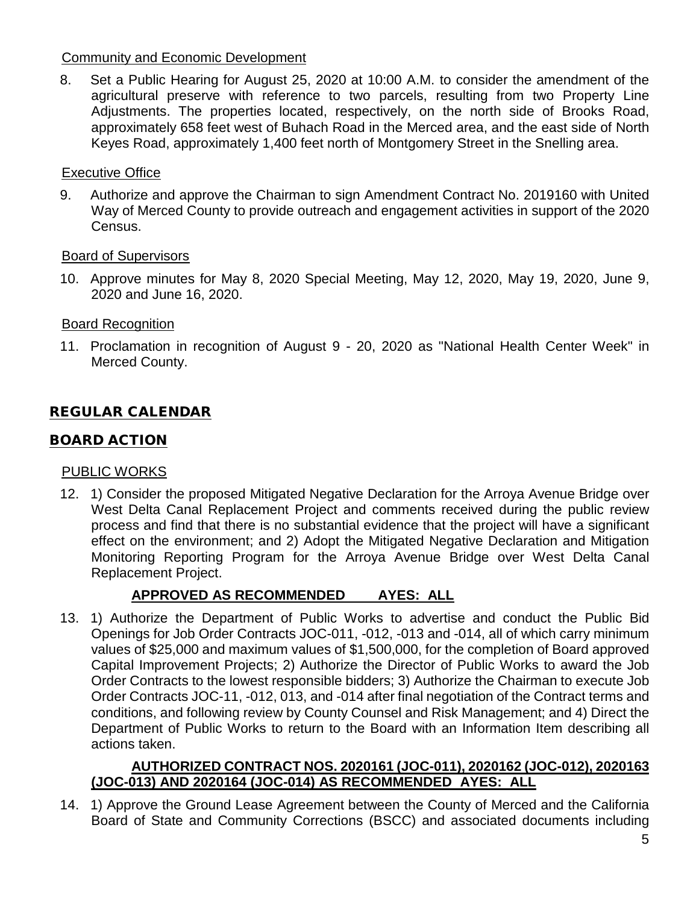#### Community and Economic Development

8. Set a Public Hearing for August 25, 2020 at 10:00 A.M. to consider the amendment of the agricultural preserve with reference to two parcels, resulting from two Property Line Adjustments. The properties located, respectively, on the north side of Brooks Road, approximately 658 feet west of Buhach Road in the Merced area, and the east side of North Keyes Road, approximately 1,400 feet north of Montgomery Street in the Snelling area.

#### Executive Office

9. Authorize and approve the Chairman to sign Amendment Contract No. 2019160 with United Way of Merced County to provide outreach and engagement activities in support of the 2020 Census.

#### Board of Supervisors

10. Approve minutes for May 8, 2020 Special Meeting, May 12, 2020, May 19, 2020, June 9, 2020 and June 16, 2020.

#### Board Recognition

11. Proclamation in recognition of August 9 - 20, 2020 as "National Health Center Week" in Merced County.

### REGULAR CALENDAR

#### BOARD ACTION

#### PUBLIC WORKS

12. 1) Consider the proposed Mitigated Negative Declaration for the Arroya Avenue Bridge over West Delta Canal Replacement Project and comments received during the public review process and find that there is no substantial evidence that the project will have a significant effect on the environment; and 2) Adopt the Mitigated Negative Declaration and Mitigation Monitoring Reporting Program for the Arroya Avenue Bridge over West Delta Canal Replacement Project.

### **APPROVED AS RECOMMENDED AYES: ALL**

13. 1) Authorize the Department of Public Works to advertise and conduct the Public Bid Openings for Job Order Contracts JOC-011, -012, -013 and -014, all of which carry minimum values of \$25,000 and maximum values of \$1,500,000, for the completion of Board approved Capital Improvement Projects; 2) Authorize the Director of Public Works to award the Job Order Contracts to the lowest responsible bidders; 3) Authorize the Chairman to execute Job Order Contracts JOC-11, -012, 013, and -014 after final negotiation of the Contract terms and conditions, and following review by County Counsel and Risk Management; and 4) Direct the Department of Public Works to return to the Board with an Information Item describing all actions taken.

#### **AUTHORIZED CONTRACT NOS. 2020161 (JOC-011), 2020162 (JOC-012), 2020163 (JOC-013) AND 2020164 (JOC-014) AS RECOMMENDED AYES: ALL**

14. 1) Approve the Ground Lease Agreement between the County of Merced and the California Board of State and Community Corrections (BSCC) and associated documents including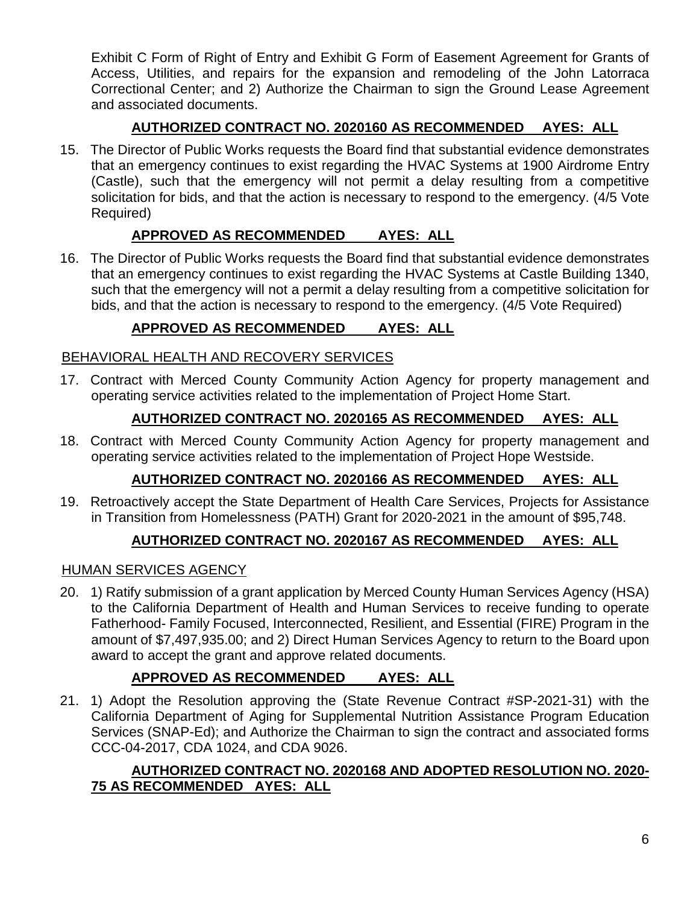Exhibit C Form of Right of Entry and Exhibit G Form of Easement Agreement for Grants of Access, Utilities, and repairs for the expansion and remodeling of the John Latorraca Correctional Center; and 2) Authorize the Chairman to sign the Ground Lease Agreement and associated documents.

## **AUTHORIZED CONTRACT NO. 2020160 AS RECOMMENDED AYES: ALL**

15. The Director of Public Works requests the Board find that substantial evidence demonstrates that an emergency continues to exist regarding the HVAC Systems at 1900 Airdrome Entry (Castle), such that the emergency will not permit a delay resulting from a competitive solicitation for bids, and that the action is necessary to respond to the emergency. (4/5 Vote Required)

## **APPROVED AS RECOMMENDED AYES: ALL**

16. The Director of Public Works requests the Board find that substantial evidence demonstrates that an emergency continues to exist regarding the HVAC Systems at Castle Building 1340, such that the emergency will not a permit a delay resulting from a competitive solicitation for bids, and that the action is necessary to respond to the emergency. (4/5 Vote Required)

## **APPROVED AS RECOMMENDED AYES: ALL**

## BEHAVIORAL HEALTH AND RECOVERY SERVICES

17. Contract with Merced County Community Action Agency for property management and operating service activities related to the implementation of Project Home Start.

## **AUTHORIZED CONTRACT NO. 2020165 AS RECOMMENDED AYES: ALL**

18. Contract with Merced County Community Action Agency for property management and operating service activities related to the implementation of Project Hope Westside.

## **AUTHORIZED CONTRACT NO. 2020166 AS RECOMMENDED AYES: ALL**

19. Retroactively accept the State Department of Health Care Services, Projects for Assistance in Transition from Homelessness (PATH) Grant for 2020-2021 in the amount of \$95,748.

## **AUTHORIZED CONTRACT NO. 2020167 AS RECOMMENDED AYES: ALL**

## HUMAN SERVICES AGENCY

20. 1) Ratify submission of a grant application by Merced County Human Services Agency (HSA) to the California Department of Health and Human Services to receive funding to operate Fatherhood- Family Focused, Interconnected, Resilient, and Essential (FIRE) Program in the amount of \$7,497,935.00; and 2) Direct Human Services Agency to return to the Board upon award to accept the grant and approve related documents.

## **APPROVED AS RECOMMENDED AYES: ALL**

21. 1) Adopt the Resolution approving the (State Revenue Contract #SP-2021-31) with the California Department of Aging for Supplemental Nutrition Assistance Program Education Services (SNAP-Ed); and Authorize the Chairman to sign the contract and associated forms CCC-04-2017, CDA 1024, and CDA 9026.

### **AUTHORIZED CONTRACT NO. 2020168 AND ADOPTED RESOLUTION NO. 2020- 75 AS RECOMMENDED AYES: ALL**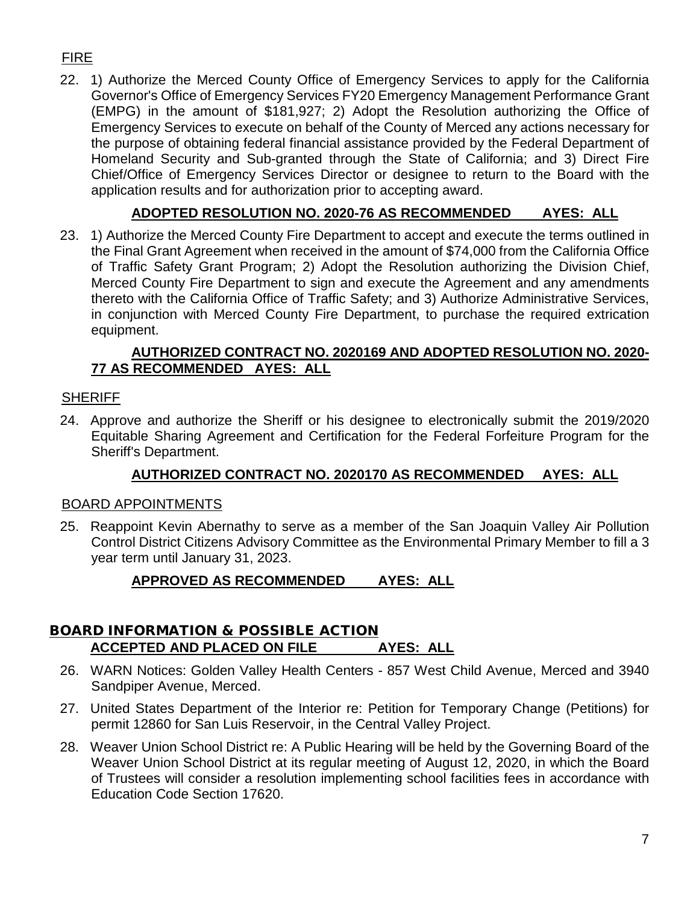## FIRE

22. 1) Authorize the Merced County Office of Emergency Services to apply for the California Governor's Office of Emergency Services FY20 Emergency Management Performance Grant (EMPG) in the amount of \$181,927; 2) Adopt the Resolution authorizing the Office of Emergency Services to execute on behalf of the County of Merced any actions necessary for the purpose of obtaining federal financial assistance provided by the Federal Department of Homeland Security and Sub-granted through the State of California; and 3) Direct Fire Chief/Office of Emergency Services Director or designee to return to the Board with the application results and for authorization prior to accepting award.

## **ADOPTED RESOLUTION NO. 2020-76 AS RECOMMENDED AYES: ALL**

23. 1) Authorize the Merced County Fire Department to accept and execute the terms outlined in the Final Grant Agreement when received in the amount of \$74,000 from the California Office of Traffic Safety Grant Program; 2) Adopt the Resolution authorizing the Division Chief, Merced County Fire Department to sign and execute the Agreement and any amendments thereto with the California Office of Traffic Safety; and 3) Authorize Administrative Services, in conjunction with Merced County Fire Department, to purchase the required extrication equipment.

### **AUTHORIZED CONTRACT NO. 2020169 AND ADOPTED RESOLUTION NO. 2020- 77 AS RECOMMENDED AYES: ALL**

## **SHERIFF**

24. Approve and authorize the Sheriff or his designee to electronically submit the 2019/2020 Equitable Sharing Agreement and Certification for the Federal Forfeiture Program for the Sheriff's Department.

## **AUTHORIZED CONTRACT NO. 2020170 AS RECOMMENDED AYES: ALL**

### BOARD APPOINTMENTS

25. Reappoint Kevin Abernathy to serve as a member of the San Joaquin Valley Air Pollution Control District Citizens Advisory Committee as the Environmental Primary Member to fill a 3 year term until January 31, 2023.

## **APPROVED AS RECOMMENDED AYES: ALL**

### BOARD INFORMATION & POSSIBLE ACTION **ACCEPTED AND PLACED ON FILE AYES: ALL**

- 26. WARN Notices: Golden Valley Health Centers 857 West Child Avenue, Merced and 3940 Sandpiper Avenue, Merced.
- 27. United States Department of the Interior re: Petition for Temporary Change (Petitions) for permit 12860 for San Luis Reservoir, in the Central Valley Project.
- 28. Weaver Union School District re: A Public Hearing will be held by the Governing Board of the Weaver Union School District at its regular meeting of August 12, 2020, in which the Board of Trustees will consider a resolution implementing school facilities fees in accordance with Education Code Section 17620.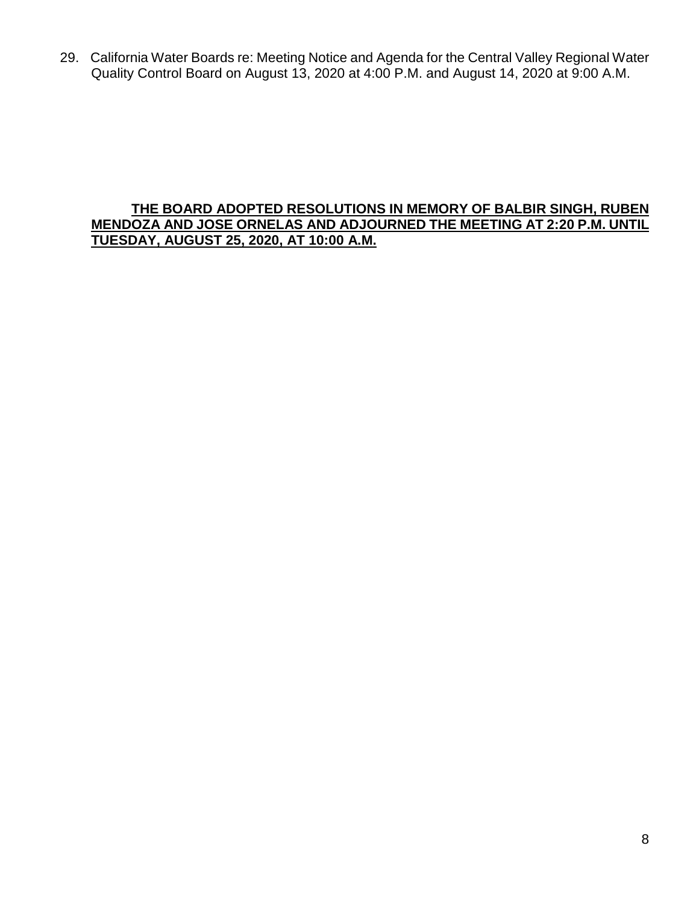29. California Water Boards re: Meeting Notice and Agenda for the Central Valley Regional Water Quality Control Board on August 13, 2020 at 4:00 P.M. and August 14, 2020 at 9:00 A.M.

#### **THE BOARD ADOPTED RESOLUTIONS IN MEMORY OF BALBIR SINGH, RUBEN MENDOZA AND JOSE ORNELAS AND ADJOURNED THE MEETING AT 2:20 P.M. UNTIL TUESDAY, AUGUST 25, 2020, AT 10:00 A.M.**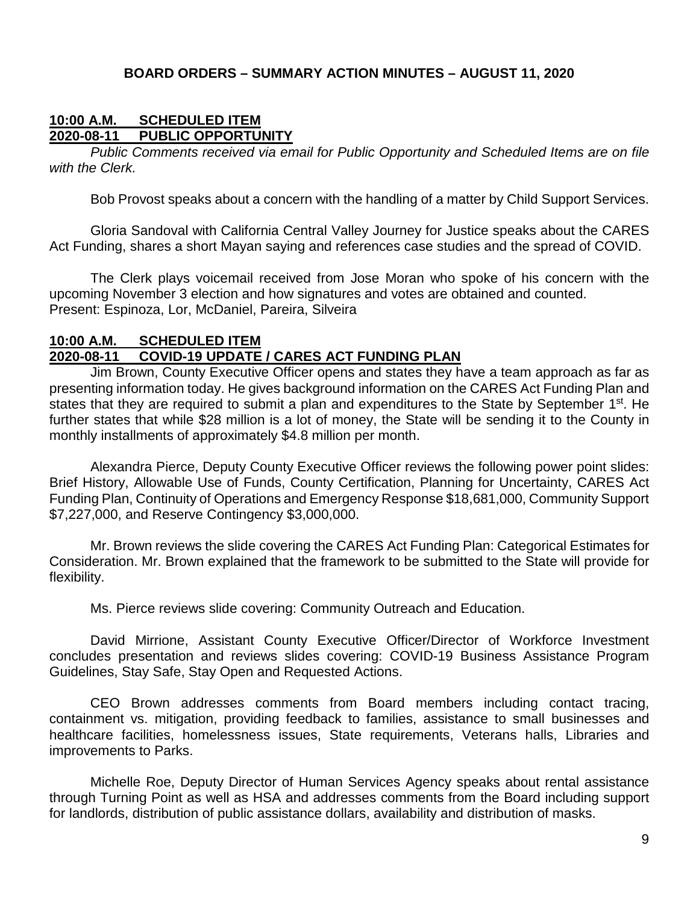#### **BOARD ORDERS – SUMMARY ACTION MINUTES – AUGUST 11, 2020**

#### **10:00 A.M. SCHEDULED ITEM 2020-08-11 PUBLIC OPPORTUNITY**

*Public Comments received via email for Public Opportunity and Scheduled Items are on file with the Clerk.*

Bob Provost speaks about a concern with the handling of a matter by Child Support Services.

Gloria Sandoval with California Central Valley Journey for Justice speaks about the CARES Act Funding, shares a short Mayan saying and references case studies and the spread of COVID.

The Clerk plays voicemail received from Jose Moran who spoke of his concern with the upcoming November 3 election and how signatures and votes are obtained and counted. Present: Espinoza, Lor, McDaniel, Pareira, Silveira

#### **10:00 A.M. SCHEDULED ITEM 2020-08-11 COVID-19 UPDATE / CARES ACT FUNDING PLAN**

Jim Brown, County Executive Officer opens and states they have a team approach as far as presenting information today. He gives background information on the CARES Act Funding Plan and states that they are required to submit a plan and expenditures to the State by September 1<sup>st</sup>. He further states that while \$28 million is a lot of money, the State will be sending it to the County in monthly installments of approximately \$4.8 million per month.

Alexandra Pierce, Deputy County Executive Officer reviews the following power point slides: Brief History, Allowable Use of Funds, County Certification, Planning for Uncertainty, CARES Act Funding Plan, Continuity of Operations and Emergency Response \$18,681,000, Community Support \$7,227,000, and Reserve Contingency \$3,000,000.

Mr. Brown reviews the slide covering the CARES Act Funding Plan: Categorical Estimates for Consideration. Mr. Brown explained that the framework to be submitted to the State will provide for flexibility.

Ms. Pierce reviews slide covering: Community Outreach and Education.

David Mirrione, Assistant County Executive Officer/Director of Workforce Investment concludes presentation and reviews slides covering: COVID-19 Business Assistance Program Guidelines, Stay Safe, Stay Open and Requested Actions.

CEO Brown addresses comments from Board members including contact tracing, containment vs. mitigation, providing feedback to families, assistance to small businesses and healthcare facilities, homelessness issues, State requirements, Veterans halls, Libraries and improvements to Parks.

Michelle Roe, Deputy Director of Human Services Agency speaks about rental assistance through Turning Point as well as HSA and addresses comments from the Board including support for landlords, distribution of public assistance dollars, availability and distribution of masks.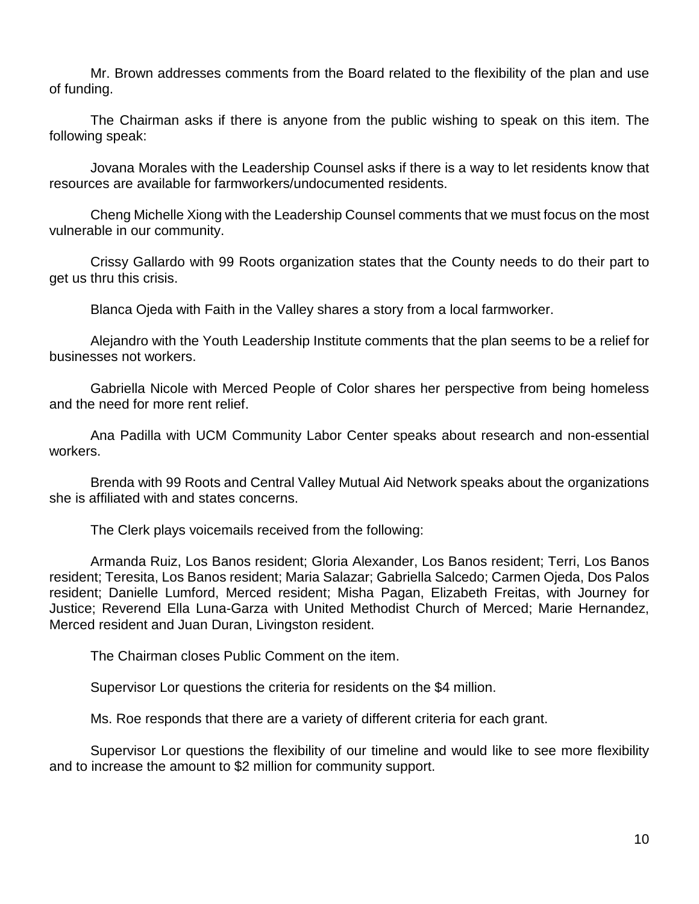Mr. Brown addresses comments from the Board related to the flexibility of the plan and use of funding.

The Chairman asks if there is anyone from the public wishing to speak on this item. The following speak:

Jovana Morales with the Leadership Counsel asks if there is a way to let residents know that resources are available for farmworkers/undocumented residents.

Cheng Michelle Xiong with the Leadership Counsel comments that we must focus on the most vulnerable in our community.

Crissy Gallardo with 99 Roots organization states that the County needs to do their part to get us thru this crisis.

Blanca Ojeda with Faith in the Valley shares a story from a local farmworker.

Alejandro with the Youth Leadership Institute comments that the plan seems to be a relief for businesses not workers.

Gabriella Nicole with Merced People of Color shares her perspective from being homeless and the need for more rent relief.

Ana Padilla with UCM Community Labor Center speaks about research and non-essential workers.

Brenda with 99 Roots and Central Valley Mutual Aid Network speaks about the organizations she is affiliated with and states concerns.

The Clerk plays voicemails received from the following:

Armanda Ruiz, Los Banos resident; Gloria Alexander, Los Banos resident; Terri, Los Banos resident; Teresita, Los Banos resident; Maria Salazar; Gabriella Salcedo; Carmen Ojeda, Dos Palos resident; Danielle Lumford, Merced resident; Misha Pagan, Elizabeth Freitas, with Journey for Justice; Reverend Ella Luna-Garza with United Methodist Church of Merced; Marie Hernandez, Merced resident and Juan Duran, Livingston resident.

The Chairman closes Public Comment on the item.

Supervisor Lor questions the criteria for residents on the \$4 million.

Ms. Roe responds that there are a variety of different criteria for each grant.

Supervisor Lor questions the flexibility of our timeline and would like to see more flexibility and to increase the amount to \$2 million for community support.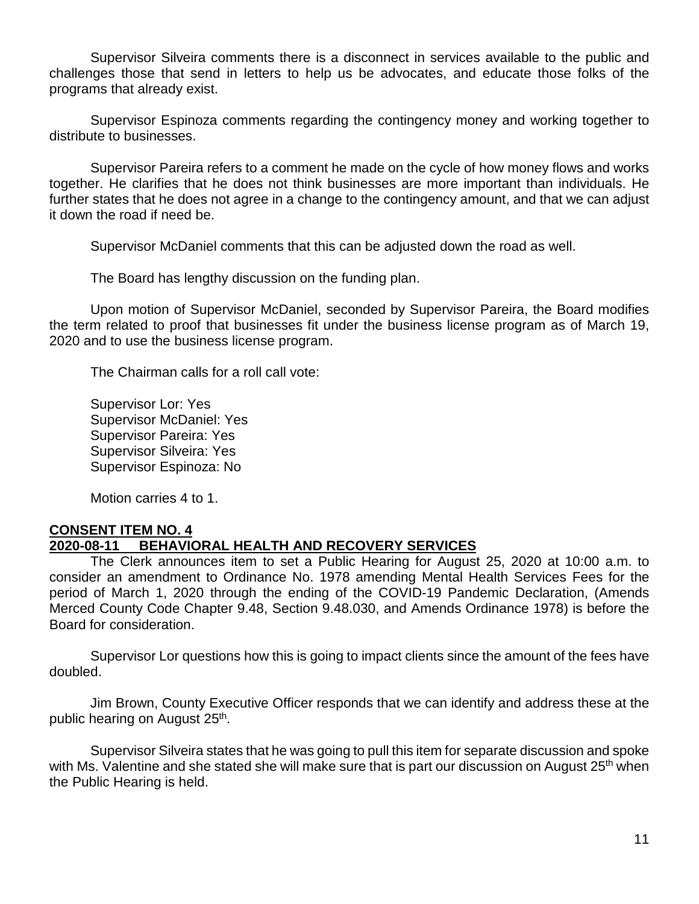Supervisor Silveira comments there is a disconnect in services available to the public and challenges those that send in letters to help us be advocates, and educate those folks of the programs that already exist.

Supervisor Espinoza comments regarding the contingency money and working together to distribute to businesses.

Supervisor Pareira refers to a comment he made on the cycle of how money flows and works together. He clarifies that he does not think businesses are more important than individuals. He further states that he does not agree in a change to the contingency amount, and that we can adjust it down the road if need be.

Supervisor McDaniel comments that this can be adjusted down the road as well.

The Board has lengthy discussion on the funding plan.

Upon motion of Supervisor McDaniel, seconded by Supervisor Pareira, the Board modifies the term related to proof that businesses fit under the business license program as of March 19, 2020 and to use the business license program.

The Chairman calls for a roll call vote:

Supervisor Lor: Yes Supervisor McDaniel: Yes Supervisor Pareira: Yes Supervisor Silveira: Yes Supervisor Espinoza: No

Motion carries 4 to 1.

#### **CONSENT ITEM NO. 4 2020-08-11 BEHAVIORAL HEALTH AND RECOVERY SERVICES**

The Clerk announces item to set a Public Hearing for August 25, 2020 at 10:00 a.m. to consider an amendment to Ordinance No. 1978 amending Mental Health Services Fees for the period of March 1, 2020 through the ending of the COVID-19 Pandemic Declaration, (Amends Merced County Code Chapter 9.48, Section 9.48.030, and Amends Ordinance 1978) is before the Board for consideration.

Supervisor Lor questions how this is going to impact clients since the amount of the fees have doubled.

Jim Brown, County Executive Officer responds that we can identify and address these at the public hearing on August 25<sup>th</sup>.

Supervisor Silveira states that he was going to pull this item for separate discussion and spoke with Ms. Valentine and she stated she will make sure that is part our discussion on August 25<sup>th</sup> when the Public Hearing is held.